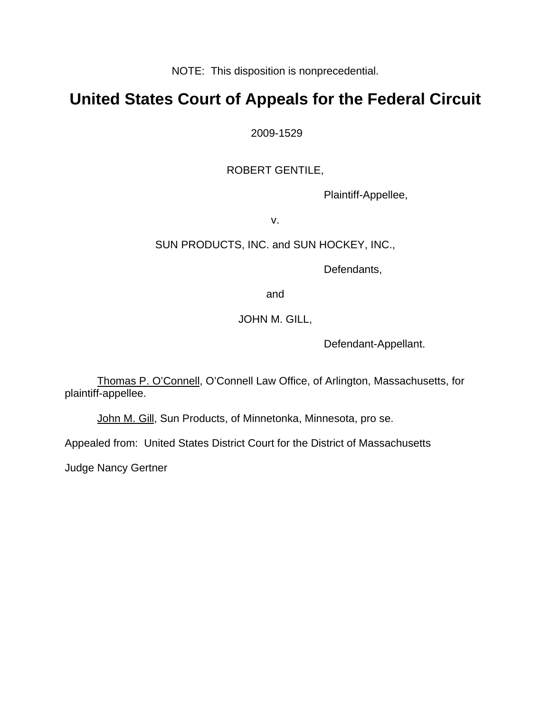NOTE: This disposition is nonprecedential.

# **United States Court of Appeals for the Federal Circuit**

2009-1529

## ROBERT GENTILE,

Plaintiff-Appellee,

v.

## SUN PRODUCTS, INC. and SUN HOCKEY, INC.,

Defendants,

and

## JOHN M. GILL,

Defendant-Appellant.

Thomas P. O'Connell, O'Connell Law Office, of Arlington, Massachusetts, for plaintiff-appellee.

John M. Gill, Sun Products, of Minnetonka, Minnesota, pro se.

Appealed from: United States District Court for the District of Massachusetts

Judge Nancy Gertner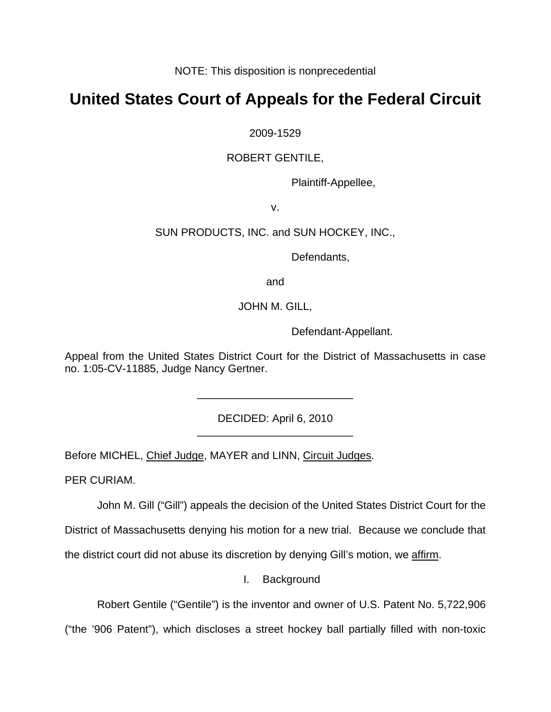NOTE: This disposition is nonprecedential

# **United States Court of Appeals for the Federal Circuit**

2009-1529

## ROBERT GENTILE,

Plaintiff-Appellee,

v.

## SUN PRODUCTS, INC. and SUN HOCKEY, INC.,

Defendants,

and

JOHN M. GILL,

Defendant-Appellant.

Appeal from the United States District Court for the District of Massachusetts in case no. 1:05-CV-11885, Judge Nancy Gertner.

> DECIDED: April 6, 2010 \_\_\_\_\_\_\_\_\_\_\_\_\_\_\_\_\_\_\_\_\_\_\_\_\_\_

> \_\_\_\_\_\_\_\_\_\_\_\_\_\_\_\_\_\_\_\_\_\_\_\_\_\_

Before MICHEL, Chief Judge, MAYER and LINN, Circuit Judges.

PER CURIAM.

John M. Gill ("Gill") appeals the decision of the United States District Court for the

District of Massachusetts denying his motion for a new trial. Because we conclude that

the district court did not abuse its discretion by denying Gill's motion, we affirm.

I. Background

Robert Gentile ("Gentile") is the inventor and owner of U.S. Patent No. 5,722,906

("the '906 Patent"), which discloses a street hockey ball partially filled with non-toxic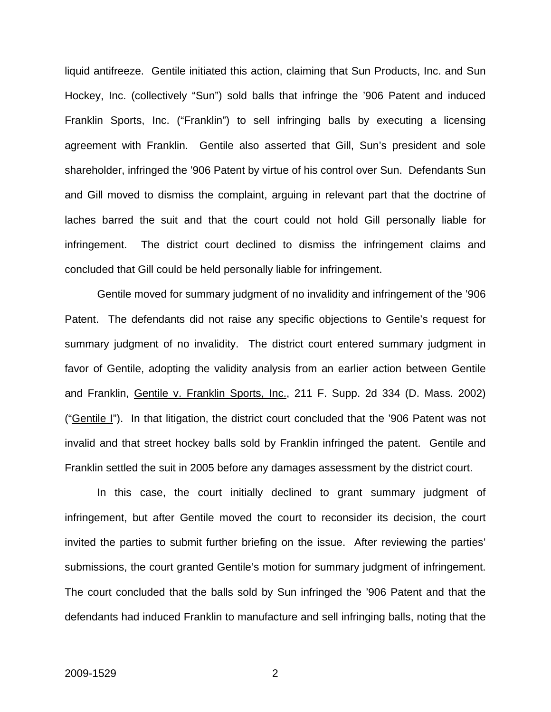liquid antifreeze. Gentile initiated this action, claiming that Sun Products, Inc. and Sun Hockey, Inc. (collectively "Sun") sold balls that infringe the '906 Patent and induced Franklin Sports, Inc. ("Franklin") to sell infringing balls by executing a licensing agreement with Franklin. Gentile also asserted that Gill, Sun's president and sole shareholder, infringed the '906 Patent by virtue of his control over Sun. Defendants Sun and Gill moved to dismiss the complaint, arguing in relevant part that the doctrine of laches barred the suit and that the court could not hold Gill personally liable for infringement. The district court declined to dismiss the infringement claims and concluded that Gill could be held personally liable for infringement.

Gentile moved for summary judgment of no invalidity and infringement of the '906 Patent. The defendants did not raise any specific objections to Gentile's request for summary judgment of no invalidity. The district court entered summary judgment in favor of Gentile, adopting the validity analysis from an earlier action between Gentile and Franklin, Gentile v. Franklin Sports, Inc., 211 F. Supp. 2d 334 (D. Mass. 2002) ("Gentile I"). In that litigation, the district court concluded that the '906 Patent was not invalid and that street hockey balls sold by Franklin infringed the patent. Gentile and Franklin settled the suit in 2005 before any damages assessment by the district court.

 In this case, the court initially declined to grant summary judgment of infringement, but after Gentile moved the court to reconsider its decision, the court invited the parties to submit further briefing on the issue. After reviewing the parties' submissions, the court granted Gentile's motion for summary judgment of infringement. The court concluded that the balls sold by Sun infringed the '906 Patent and that the defendants had induced Franklin to manufacture and sell infringing balls, noting that the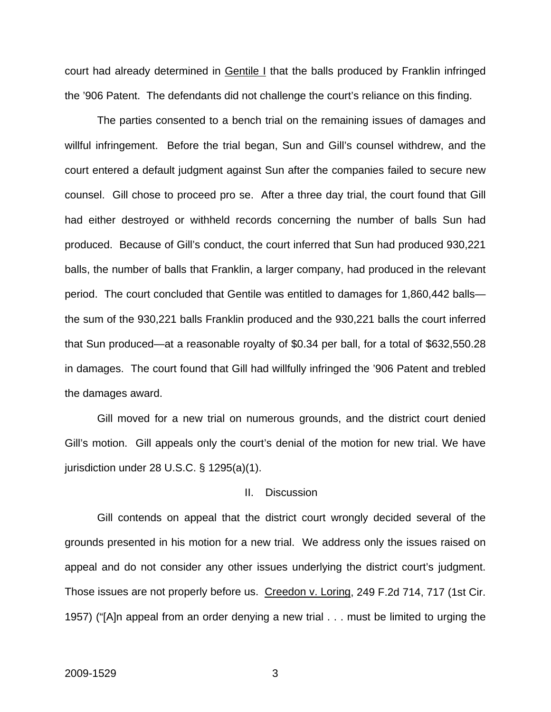court had already determined in Gentile I that the balls produced by Franklin infringed the '906 Patent. The defendants did not challenge the court's reliance on this finding.

 The parties consented to a bench trial on the remaining issues of damages and willful infringement. Before the trial began, Sun and Gill's counsel withdrew, and the court entered a default judgment against Sun after the companies failed to secure new counsel. Gill chose to proceed pro se. After a three day trial, the court found that Gill had either destroyed or withheld records concerning the number of balls Sun had produced. Because of Gill's conduct, the court inferred that Sun had produced 930,221 balls, the number of balls that Franklin, a larger company, had produced in the relevant period. The court concluded that Gentile was entitled to damages for 1,860,442 balls the sum of the 930,221 balls Franklin produced and the 930,221 balls the court inferred that Sun produced—at a reasonable royalty of \$0.34 per ball, for a total of \$632,550.28 in damages. The court found that Gill had willfully infringed the '906 Patent and trebled the damages award.

 Gill moved for a new trial on numerous grounds, and the district court denied Gill's motion. Gill appeals only the court's denial of the motion for new trial. We have jurisdiction under 28 U.S.C. § 1295(a)(1).

#### II. Discussion

 Gill contends on appeal that the district court wrongly decided several of the grounds presented in his motion for a new trial. We address only the issues raised on appeal and do not consider any other issues underlying the district court's judgment. Those issues are not properly before us. Creedon v. Loring, 249 F.2d 714, 717 (1st Cir. 1957) ("[A]n appeal from an order denying a new trial . . . must be limited to urging the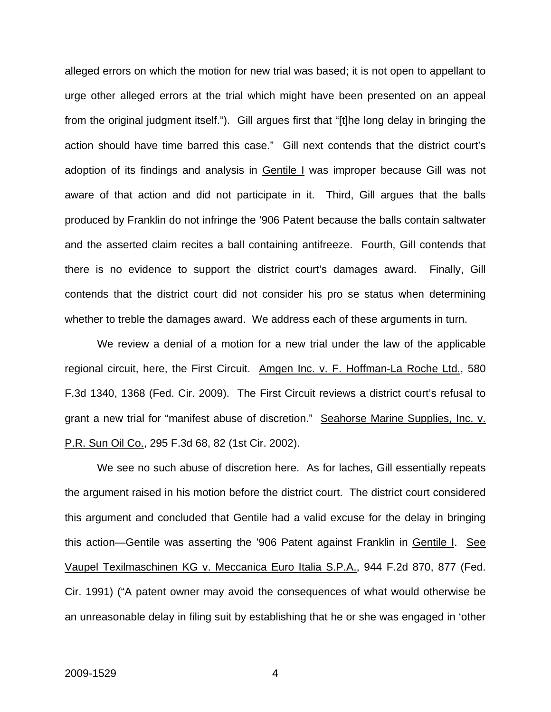alleged errors on which the motion for new trial was based; it is not open to appellant to urge other alleged errors at the trial which might have been presented on an appeal from the original judgment itself."). Gill argues first that "[t]he long delay in bringing the action should have time barred this case." Gill next contends that the district court's adoption of its findings and analysis in Gentile I was improper because Gill was not aware of that action and did not participate in it. Third, Gill argues that the balls produced by Franklin do not infringe the '906 Patent because the balls contain saltwater and the asserted claim recites a ball containing antifreeze. Fourth, Gill contends that there is no evidence to support the district court's damages award. Finally, Gill contends that the district court did not consider his pro se status when determining whether to treble the damages award. We address each of these arguments in turn.

 We review a denial of a motion for a new trial under the law of the applicable regional circuit, here, the First Circuit. Amgen Inc. v. F. Hoffman-La Roche Ltd., 580 F.3d 1340, 1368 (Fed. Cir. 2009). The First Circuit reviews a district court's refusal to grant a new trial for "manifest abuse of discretion." Seahorse Marine Supplies, Inc. v. P.R. Sun Oil Co., 295 F.3d 68, 82 (1st Cir. 2002).

 We see no such abuse of discretion here. As for laches, Gill essentially repeats the argument raised in his motion before the district court. The district court considered this argument and concluded that Gentile had a valid excuse for the delay in bringing this action—Gentile was asserting the '906 Patent against Franklin in Gentile I. See Vaupel Texilmaschinen KG v. Meccanica Euro Italia S.P.A., 944 F.2d 870, 877 (Fed. Cir. 1991) ("A patent owner may avoid the consequences of what would otherwise be an unreasonable delay in filing suit by establishing that he or she was engaged in 'other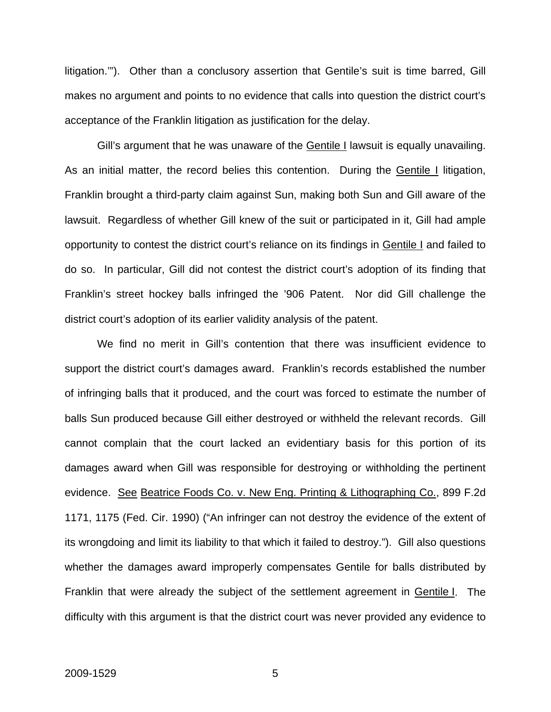litigation.'"). Other than a conclusory assertion that Gentile's suit is time barred, Gill makes no argument and points to no evidence that calls into question the district court's acceptance of the Franklin litigation as justification for the delay.

Gill's argument that he was unaware of the Gentile I lawsuit is equally unavailing. As an initial matter, the record belies this contention. During the Gentile I litigation, Franklin brought a third-party claim against Sun, making both Sun and Gill aware of the lawsuit. Regardless of whether Gill knew of the suit or participated in it, Gill had ample opportunity to contest the district court's reliance on its findings in Gentile I and failed to do so. In particular, Gill did not contest the district court's adoption of its finding that Franklin's street hockey balls infringed the '906 Patent. Nor did Gill challenge the district court's adoption of its earlier validity analysis of the patent.

 We find no merit in Gill's contention that there was insufficient evidence to support the district court's damages award. Franklin's records established the number of infringing balls that it produced, and the court was forced to estimate the number of balls Sun produced because Gill either destroyed or withheld the relevant records. Gill cannot complain that the court lacked an evidentiary basis for this portion of its damages award when Gill was responsible for destroying or withholding the pertinent evidence. See Beatrice Foods Co. v. New Eng. Printing & Lithographing Co., 899 F.2d 1171, 1175 (Fed. Cir. 1990) ("An infringer can not destroy the evidence of the extent of its wrongdoing and limit its liability to that which it failed to destroy."). Gill also questions whether the damages award improperly compensates Gentile for balls distributed by Franklin that were already the subject of the settlement agreement in Gentile I. The difficulty with this argument is that the district court was never provided any evidence to